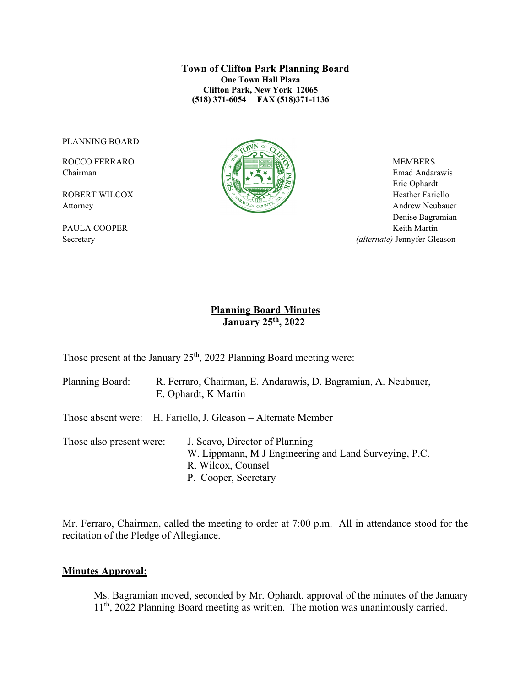**Town of Clifton Park Planning Board One Town Hall Plaza Clifton Park, New York 12065 (518) 371-6054 FAX (518)371-1136**

PLANNING BOARD



Chairman Emad Andarawis  $\left[\begin{array}{c|c} \Delta \end{array}\right]$   $\rightarrow \infty$   $\left[\begin{array}{c|c} \Delta \end{array}\right]$  Emad Andarawis Eric Ophardt Attorney Andrew Neubauer Denise Bagramian PAULA COOPER Keith Martin Secretary *(alternate)* Jennyfer Gleason

## **Planning Board Minutes January 25th, 2022\_\_**

Those present at the January  $25<sup>th</sup>$ , 2022 Planning Board meeting were:

Planning Board: R. Ferraro, Chairman, E. Andarawis, D. Bagramian, A. Neubauer, E. Ophardt, K Martin

Those absent were: H. Fariello, J. Gleason – Alternate Member

Those also present were: J. Scavo, Director of Planning W. Lippmann, M J Engineering and Land Surveying, P.C. R. Wilcox, Counsel P. Cooper, Secretary

Mr. Ferraro, Chairman, called the meeting to order at 7:00 p.m. All in attendance stood for the recitation of the Pledge of Allegiance.

#### **Minutes Approval:**

Ms. Bagramian moved, seconded by Mr. Ophardt, approval of the minutes of the January 11<sup>th</sup>, 2022 Planning Board meeting as written. The motion was unanimously carried.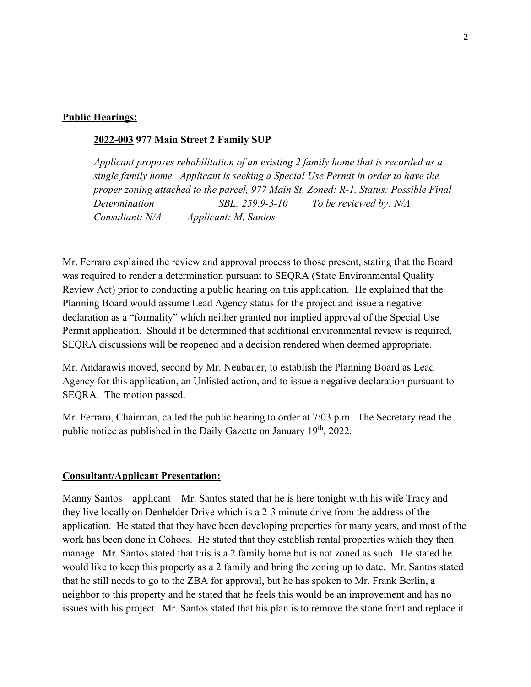#### **Public Hearings:**

#### **2022-003 977 Main Street 2 Family SUP**

*Applicant proposes rehabilitation of an existing 2 family home that is recorded as a single family home. Applicant is seeking a Special Use Permit in order to have the proper zoning attached to the parcel, 977 Main St, Zoned: R-1, Status: Possible Final Determination SBL: 259.9-3-10 To be reviewed by: N/A Consultant: N/A Applicant: M. Santos*

Mr. Ferraro explained the review and approval process to those present, stating that the Board was required to render a determination pursuant to SEQRA (State Environmental Quality Review Act) prior to conducting a public hearing on this application. He explained that the Planning Board would assume Lead Agency status for the project and issue a negative declaration as a "formality" which neither granted nor implied approval of the Special Use Permit application. Should it be determined that additional environmental review is required, SEQRA discussions will be reopened and a decision rendered when deemed appropriate.

Mr. Andarawis moved, second by Mr. Neubauer, to establish the Planning Board as Lead Agency for this application, an Unlisted action, and to issue a negative declaration pursuant to SEQRA. The motion passed.

Mr. Ferraro, Chairman, called the public hearing to order at 7:03 p.m. The Secretary read the public notice as published in the Daily Gazette on January 19<sup>th</sup>, 2022.

#### **Consultant/Applicant Presentation:**

Manny Santos – applicant – Mr. Santos stated that he is here tonight with his wife Tracy and they live locally on Denhelder Drive which is a 2-3 minute drive from the address of the application. He stated that they have been developing properties for many years, and most of the work has been done in Cohoes. He stated that they establish rental properties which they then manage. Mr. Santos stated that this is a 2 family home but is not zoned as such. He stated he would like to keep this property as a 2 family and bring the zoning up to date. Mr. Santos stated that he still needs to go to the ZBA for approval, but he has spoken to Mr. Frank Berlin, a neighbor to this property and he stated that he feels this would be an improvement and has no issues with his project. Mr. Santos stated that his plan is to remove the stone front and replace it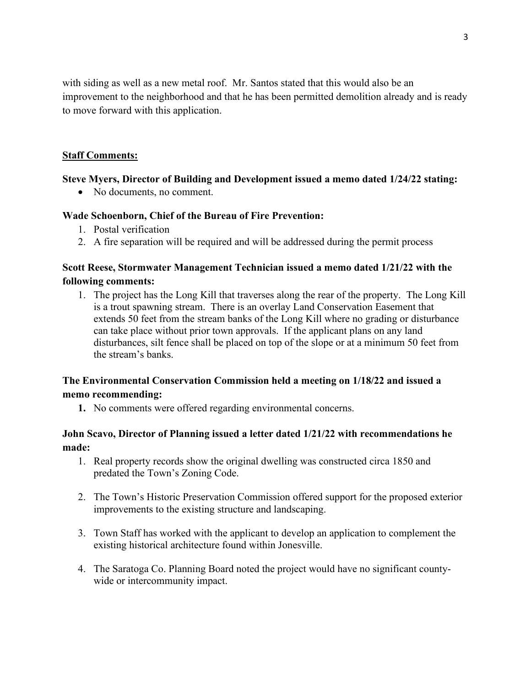with siding as well as a new metal roof. Mr. Santos stated that this would also be an improvement to the neighborhood and that he has been permitted demolition already and is ready to move forward with this application.

### **Staff Comments:**

### **Steve Myers, Director of Building and Development issued a memo dated 1/24/22 stating:**

• No documents, no comment.

### **Wade Schoenborn, Chief of the Bureau of Fire Prevention:**

- 1. Postal verification
- 2. A fire separation will be required and will be addressed during the permit process

## **Scott Reese, Stormwater Management Technician issued a memo dated 1/21/22 with the following comments:**

1. The project has the Long Kill that traverses along the rear of the property. The Long Kill is a trout spawning stream. There is an overlay Land Conservation Easement that extends 50 feet from the stream banks of the Long Kill where no grading or disturbance can take place without prior town approvals. If the applicant plans on any land disturbances, silt fence shall be placed on top of the slope or at a minimum 50 feet from the stream's banks.

# **The Environmental Conservation Commission held a meeting on 1/18/22 and issued a memo recommending:**

**1.** No comments were offered regarding environmental concerns.

# **John Scavo, Director of Planning issued a letter dated 1/21/22 with recommendations he made:**

- 1. Real property records show the original dwelling was constructed circa 1850 and predated the Town's Zoning Code.
- 2. The Town's Historic Preservation Commission offered support for the proposed exterior improvements to the existing structure and landscaping.
- 3. Town Staff has worked with the applicant to develop an application to complement the existing historical architecture found within Jonesville.
- 4. The Saratoga Co. Planning Board noted the project would have no significant countywide or intercommunity impact.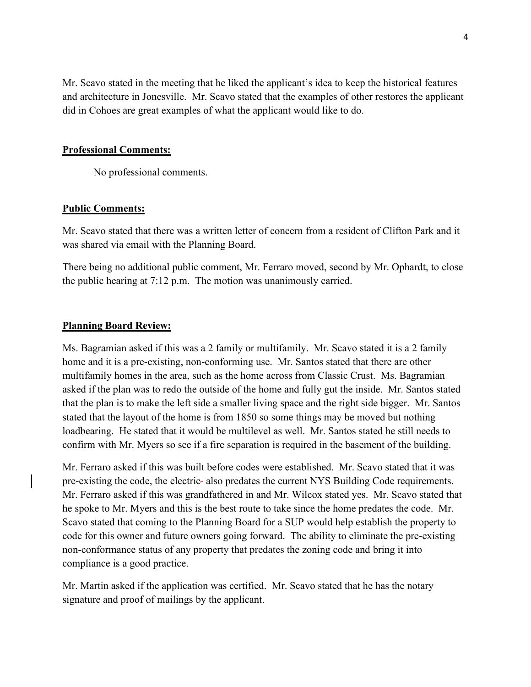Mr. Scavo stated in the meeting that he liked the applicant's idea to keep the historical features and architecture in Jonesville. Mr. Scavo stated that the examples of other restores the applicant did in Cohoes are great examples of what the applicant would like to do.

#### **Professional Comments:**

No professional comments.

#### **Public Comments:**

Mr. Scavo stated that there was a written letter of concern from a resident of Clifton Park and it was shared via email with the Planning Board.

There being no additional public comment, Mr. Ferraro moved, second by Mr. Ophardt, to close the public hearing at 7:12 p.m. The motion was unanimously carried.

#### **Planning Board Review:**

Ms. Bagramian asked if this was a 2 family or multifamily. Mr. Scavo stated it is a 2 family home and it is a pre-existing, non-conforming use. Mr. Santos stated that there are other multifamily homes in the area, such as the home across from Classic Crust. Ms. Bagramian asked if the plan was to redo the outside of the home and fully gut the inside. Mr. Santos stated that the plan is to make the left side a smaller living space and the right side bigger. Mr. Santos stated that the layout of the home is from 1850 so some things may be moved but nothing loadbearing. He stated that it would be multilevel as well. Mr. Santos stated he still needs to confirm with Mr. Myers so see if a fire separation is required in the basement of the building.

Mr. Ferraro asked if this was built before codes were established. Mr. Scavo stated that it was pre-existing the code, the electric also predates the current NYS Building Code requirements. Mr. Ferraro asked if this was grandfathered in and Mr. Wilcox stated yes. Mr. Scavo stated that he spoke to Mr. Myers and this is the best route to take since the home predates the code. Mr. Scavo stated that coming to the Planning Board for a SUP would help establish the property to code for this owner and future owners going forward. The ability to eliminate the pre-existing non-conformance status of any property that predates the zoning code and bring it into compliance is a good practice.

Mr. Martin asked if the application was certified. Mr. Scavo stated that he has the notary signature and proof of mailings by the applicant.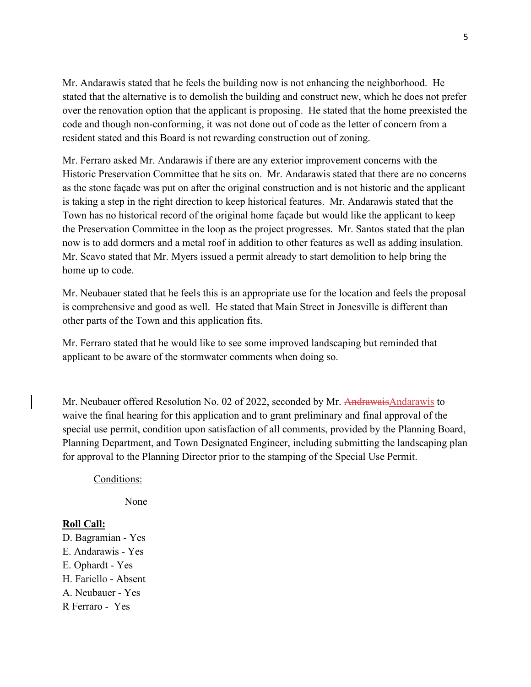Mr. Andarawis stated that he feels the building now is not enhancing the neighborhood. He stated that the alternative is to demolish the building and construct new, which he does not prefer over the renovation option that the applicant is proposing. He stated that the home preexisted the code and though non-conforming, it was not done out of code as the letter of concern from a resident stated and this Board is not rewarding construction out of zoning.

Mr. Ferraro asked Mr. Andarawis if there are any exterior improvement concerns with the Historic Preservation Committee that he sits on. Mr. Andarawis stated that there are no concerns as the stone façade was put on after the original construction and is not historic and the applicant is taking a step in the right direction to keep historical features. Mr. Andarawis stated that the Town has no historical record of the original home façade but would like the applicant to keep the Preservation Committee in the loop as the project progresses. Mr. Santos stated that the plan now is to add dormers and a metal roof in addition to other features as well as adding insulation. Mr. Scavo stated that Mr. Myers issued a permit already to start demolition to help bring the home up to code.

Mr. Neubauer stated that he feels this is an appropriate use for the location and feels the proposal is comprehensive and good as well. He stated that Main Street in Jonesville is different than other parts of the Town and this application fits.

Mr. Ferraro stated that he would like to see some improved landscaping but reminded that applicant to be aware of the stormwater comments when doing so.

Mr. Neubauer offered Resolution No. 02 of 2022, seconded by Mr. AndrawaisAndarawis to waive the final hearing for this application and to grant preliminary and final approval of the special use permit, condition upon satisfaction of all comments, provided by the Planning Board, Planning Department, and Town Designated Engineer, including submitting the landscaping plan for approval to the Planning Director prior to the stamping of the Special Use Permit.

Conditions:

None

#### **Roll Call:**

D. Bagramian - Yes E. Andarawis - Yes E. Ophardt - Yes H. Fariello - Absent A. Neubauer - Yes R Ferraro - Yes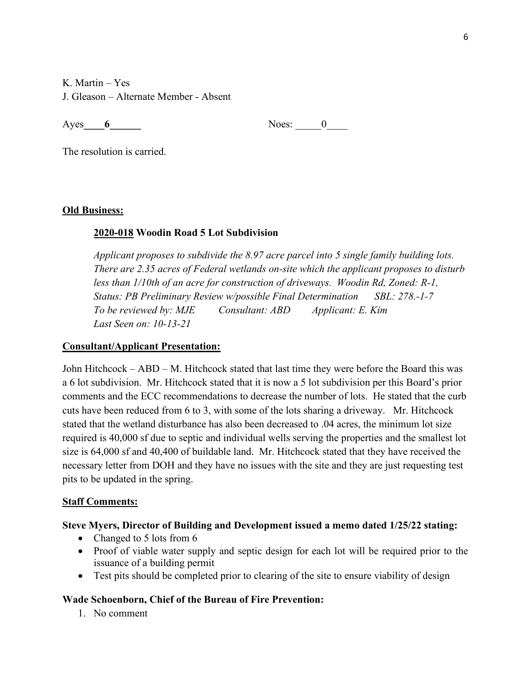K. Martin – Yes J. Gleason – Alternate Member - Absent

Ayes **6** Noes: 0

The resolution is carried.

#### **Old Business:**

#### **2020-018 Woodin Road 5 Lot Subdivision**

*Applicant proposes to subdivide the 8.97 acre parcel into 5 single family building lots. There are 2.35 acres of Federal wetlands on-site which the applicant proposes to disturb less than 1/10th of an acre for construction of driveways. Woodin Rd, Zoned: R-1, Status: PB Preliminary Review w/possible Final Determination SBL: 278.-1-7 To be reviewed by: MJE Consultant: ABD Applicant: E. Kim Last Seen on: 10-13-21*

#### **Consultant/Applicant Presentation:**

John Hitchcock – ABD – M. Hitchcock stated that last time they were before the Board this was a 6 lot subdivision. Mr. Hitchcock stated that it is now a 5 lot subdivision per this Board's prior comments and the ECC recommendations to decrease the number of lots. He stated that the curb cuts have been reduced from 6 to 3, with some of the lots sharing a driveway. Mr. Hitchcock stated that the wetland disturbance has also been decreased to .04 acres, the minimum lot size required is 40,000 sf due to septic and individual wells serving the properties and the smallest lot size is 64,000 sf and 40,400 of buildable land. Mr. Hitchcock stated that they have received the necessary letter from DOH and they have no issues with the site and they are just requesting test pits to be updated in the spring.

#### **Staff Comments:**

#### **Steve Myers, Director of Building and Development issued a memo dated 1/25/22 stating:**

- Changed to 5 lots from 6
- Proof of viable water supply and septic design for each lot will be required prior to the issuance of a building permit
- Test pits should be completed prior to clearing of the site to ensure viability of design

#### **Wade Schoenborn, Chief of the Bureau of Fire Prevention:**

1. No comment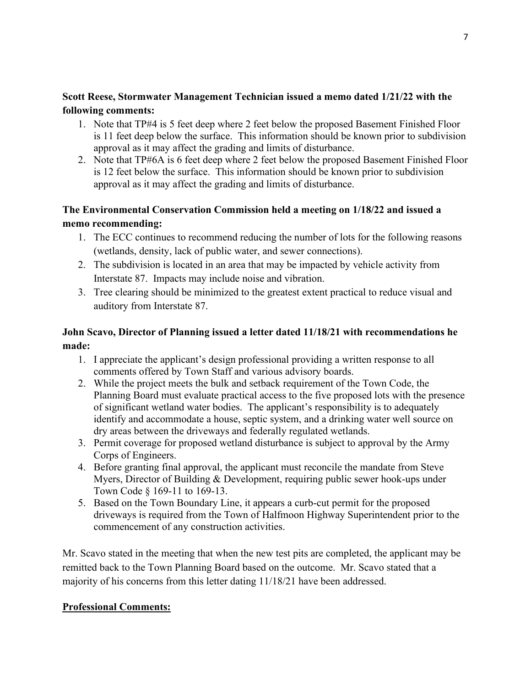# **Scott Reese, Stormwater Management Technician issued a memo dated 1/21/22 with the following comments:**

- 1. Note that TP#4 is 5 feet deep where 2 feet below the proposed Basement Finished Floor is 11 feet deep below the surface. This information should be known prior to subdivision approval as it may affect the grading and limits of disturbance.
- 2. Note that TP#6A is 6 feet deep where 2 feet below the proposed Basement Finished Floor is 12 feet below the surface. This information should be known prior to subdivision approval as it may affect the grading and limits of disturbance.

# **The Environmental Conservation Commission held a meeting on 1/18/22 and issued a memo recommending:**

- 1. The ECC continues to recommend reducing the number of lots for the following reasons (wetlands, density, lack of public water, and sewer connections).
- 2. The subdivision is located in an area that may be impacted by vehicle activity from Interstate 87. Impacts may include noise and vibration.
- 3. Tree clearing should be minimized to the greatest extent practical to reduce visual and auditory from Interstate 87.

# **John Scavo, Director of Planning issued a letter dated 11/18/21 with recommendations he made:**

- 1. I appreciate the applicant's design professional providing a written response to all comments offered by Town Staff and various advisory boards.
- 2. While the project meets the bulk and setback requirement of the Town Code, the Planning Board must evaluate practical access to the five proposed lots with the presence of significant wetland water bodies. The applicant's responsibility is to adequately identify and accommodate a house, septic system, and a drinking water well source on dry areas between the driveways and federally regulated wetlands.
- 3. Permit coverage for proposed wetland disturbance is subject to approval by the Army Corps of Engineers.
- 4. Before granting final approval, the applicant must reconcile the mandate from Steve Myers, Director of Building & Development, requiring public sewer hook-ups under Town Code § 169-11 to 169-13.
- 5. Based on the Town Boundary Line, it appears a curb-cut permit for the proposed driveways is required from the Town of Halfmoon Highway Superintendent prior to the commencement of any construction activities.

Mr. Scavo stated in the meeting that when the new test pits are completed, the applicant may be remitted back to the Town Planning Board based on the outcome. Mr. Scavo stated that a majority of his concerns from this letter dating 11/18/21 have been addressed.

## **Professional Comments:**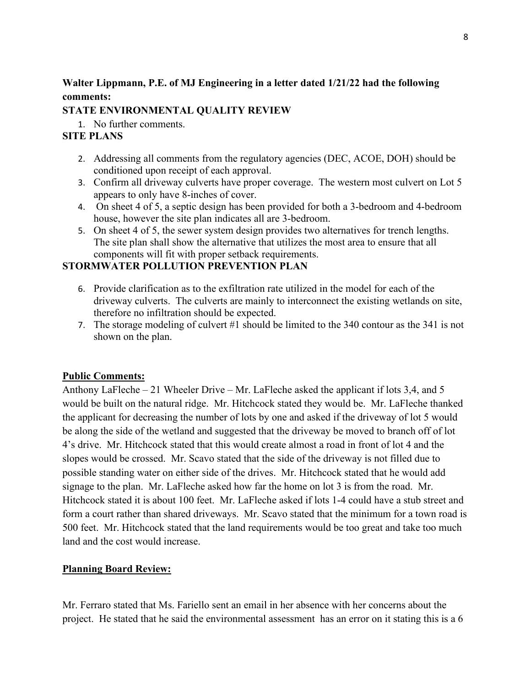# **Walter Lippmann, P.E. of MJ Engineering in a letter dated 1/21/22 had the following comments:**

## **STATE ENVIRONMENTAL QUALITY REVIEW**

1. No further comments.

# **SITE PLANS**

- 2. Addressing all comments from the regulatory agencies (DEC, ACOE, DOH) should be conditioned upon receipt of each approval.
- 3. Confirm all driveway culverts have proper coverage. The western most culvert on Lot 5 appears to only have 8-inches of cover.
- 4. On sheet 4 of 5, a septic design has been provided for both a 3-bedroom and 4-bedroom house, however the site plan indicates all are 3-bedroom.
- 5. On sheet 4 of 5, the sewer system design provides two alternatives for trench lengths. The site plan shall show the alternative that utilizes the most area to ensure that all components will fit with proper setback requirements.

# **STORMWATER POLLUTION PREVENTION PLAN**

- 6. Provide clarification as to the exfiltration rate utilized in the model for each of the driveway culverts. The culverts are mainly to interconnect the existing wetlands on site, therefore no infiltration should be expected.
- 7. The storage modeling of culvert #1 should be limited to the 340 contour as the 341 is not shown on the plan.

# **Public Comments:**

Anthony LaFleche – 21 Wheeler Drive – Mr. LaFleche asked the applicant if lots 3,4, and 5 would be built on the natural ridge. Mr. Hitchcock stated they would be. Mr. LaFleche thanked the applicant for decreasing the number of lots by one and asked if the driveway of lot 5 would be along the side of the wetland and suggested that the driveway be moved to branch off of lot 4's drive. Mr. Hitchcock stated that this would create almost a road in front of lot 4 and the slopes would be crossed. Mr. Scavo stated that the side of the driveway is not filled due to possible standing water on either side of the drives. Mr. Hitchcock stated that he would add signage to the plan. Mr. LaFleche asked how far the home on lot 3 is from the road. Mr. Hitchcock stated it is about 100 feet. Mr. LaFleche asked if lots 1-4 could have a stub street and form a court rather than shared driveways. Mr. Scavo stated that the minimum for a town road is 500 feet. Mr. Hitchcock stated that the land requirements would be too great and take too much land and the cost would increase.

# **Planning Board Review:**

Mr. Ferraro stated that Ms. Fariello sent an email in her absence with her concerns about the project. He stated that he said the environmental assessment has an error on it stating this is a 6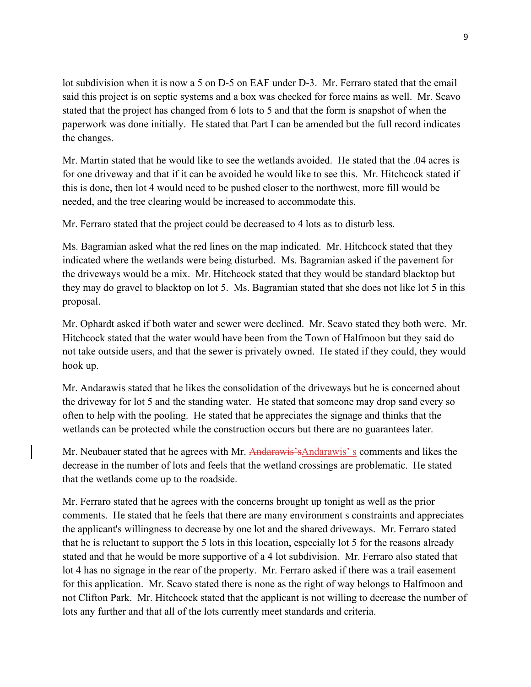lot subdivision when it is now a 5 on D-5 on EAF under D-3. Mr. Ferraro stated that the email said this project is on septic systems and a box was checked for force mains as well. Mr. Scavo stated that the project has changed from 6 lots to 5 and that the form is snapshot of when the paperwork was done initially. He stated that Part I can be amended but the full record indicates the changes.

Mr. Martin stated that he would like to see the wetlands avoided. He stated that the .04 acres is for one driveway and that if it can be avoided he would like to see this. Mr. Hitchcock stated if this is done, then lot 4 would need to be pushed closer to the northwest, more fill would be needed, and the tree clearing would be increased to accommodate this.

Mr. Ferraro stated that the project could be decreased to 4 lots as to disturb less.

Ms. Bagramian asked what the red lines on the map indicated. Mr. Hitchcock stated that they indicated where the wetlands were being disturbed. Ms. Bagramian asked if the pavement for the driveways would be a mix. Mr. Hitchcock stated that they would be standard blacktop but they may do gravel to blacktop on lot 5. Ms. Bagramian stated that she does not like lot 5 in this proposal.

Mr. Ophardt asked if both water and sewer were declined. Mr. Scavo stated they both were. Mr. Hitchcock stated that the water would have been from the Town of Halfmoon but they said do not take outside users, and that the sewer is privately owned. He stated if they could, they would hook up.

Mr. Andarawis stated that he likes the consolidation of the driveways but he is concerned about the driveway for lot 5 and the standing water. He stated that someone may drop sand every so often to help with the pooling. He stated that he appreciates the signage and thinks that the wetlands can be protected while the construction occurs but there are no guarantees later.

Mr. Neubauer stated that he agrees with Mr. Andarawis'sAndarawis' s comments and likes the decrease in the number of lots and feels that the wetland crossings are problematic. He stated that the wetlands come up to the roadside.

Mr. Ferraro stated that he agrees with the concerns brought up tonight as well as the prior comments. He stated that he feels that there are many environment s constraints and appreciates the applicant's willingness to decrease by one lot and the shared driveways. Mr. Ferraro stated that he is reluctant to support the 5 lots in this location, especially lot 5 for the reasons already stated and that he would be more supportive of a 4 lot subdivision. Mr. Ferraro also stated that lot 4 has no signage in the rear of the property. Mr. Ferraro asked if there was a trail easement for this application. Mr. Scavo stated there is none as the right of way belongs to Halfmoon and not Clifton Park. Mr. Hitchcock stated that the applicant is not willing to decrease the number of lots any further and that all of the lots currently meet standards and criteria.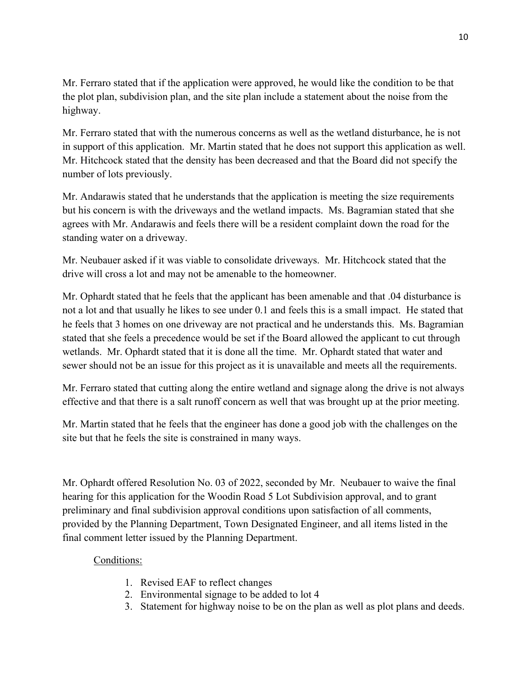Mr. Ferraro stated that if the application were approved, he would like the condition to be that the plot plan, subdivision plan, and the site plan include a statement about the noise from the highway.

Mr. Ferraro stated that with the numerous concerns as well as the wetland disturbance, he is not in support of this application. Mr. Martin stated that he does not support this application as well. Mr. Hitchcock stated that the density has been decreased and that the Board did not specify the number of lots previously.

Mr. Andarawis stated that he understands that the application is meeting the size requirements but his concern is with the driveways and the wetland impacts. Ms. Bagramian stated that she agrees with Mr. Andarawis and feels there will be a resident complaint down the road for the standing water on a driveway.

Mr. Neubauer asked if it was viable to consolidate driveways. Mr. Hitchcock stated that the drive will cross a lot and may not be amenable to the homeowner.

Mr. Ophardt stated that he feels that the applicant has been amenable and that .04 disturbance is not a lot and that usually he likes to see under 0.1 and feels this is a small impact. He stated that he feels that 3 homes on one driveway are not practical and he understands this. Ms. Bagramian stated that she feels a precedence would be set if the Board allowed the applicant to cut through wetlands. Mr. Ophardt stated that it is done all the time. Mr. Ophardt stated that water and sewer should not be an issue for this project as it is unavailable and meets all the requirements.

Mr. Ferraro stated that cutting along the entire wetland and signage along the drive is not always effective and that there is a salt runoff concern as well that was brought up at the prior meeting.

Mr. Martin stated that he feels that the engineer has done a good job with the challenges on the site but that he feels the site is constrained in many ways.

Mr. Ophardt offered Resolution No. 03 of 2022, seconded by Mr. Neubauer to waive the final hearing for this application for the Woodin Road 5 Lot Subdivision approval, and to grant preliminary and final subdivision approval conditions upon satisfaction of all comments, provided by the Planning Department, Town Designated Engineer, and all items listed in the final comment letter issued by the Planning Department.

## Conditions:

- 1. Revised EAF to reflect changes
- 2. Environmental signage to be added to lot 4
- 3. Statement for highway noise to be on the plan as well as plot plans and deeds.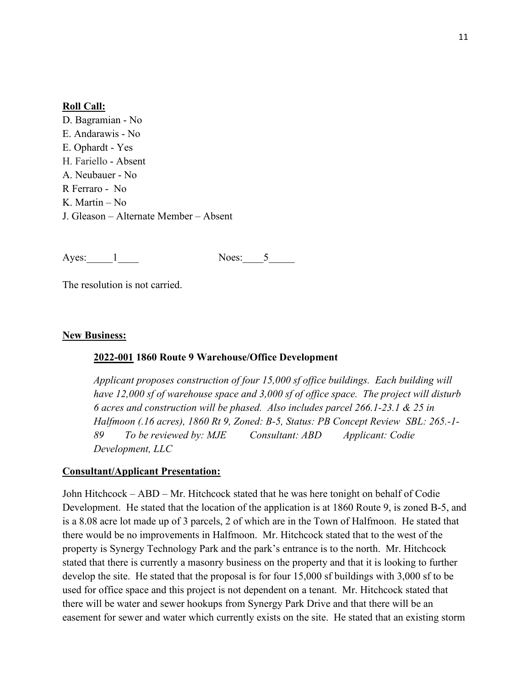#### **Roll Call:**

D. Bagramian - No E. Andarawis - No E. Ophardt - Yes H. Fariello - Absent A. Neubauer - No R Ferraro - No K. Martin – No J. Gleason – Alternate Member – Absent

Ayes: 1 Noes: 5

The resolution is not carried.

#### **New Business:**

#### **2022-001 1860 Route 9 Warehouse/Office Development**

*Applicant proposes construction of four 15,000 sf office buildings. Each building will have 12,000 sf of warehouse space and 3,000 sf of office space. The project will disturb 6 acres and construction will be phased. Also includes parcel 266.1-23.1 & 25 in Halfmoon (.16 acres), 1860 Rt 9, Zoned: B-5, Status: PB Concept Review SBL: 265.-1- 89 To be reviewed by: MJE Consultant: ABD Applicant: Codie Development, LLC*

#### **Consultant/Applicant Presentation:**

John Hitchcock – ABD – Mr. Hitchcock stated that he was here tonight on behalf of Codie Development. He stated that the location of the application is at 1860 Route 9, is zoned B-5, and is a 8.08 acre lot made up of 3 parcels, 2 of which are in the Town of Halfmoon. He stated that there would be no improvements in Halfmoon. Mr. Hitchcock stated that to the west of the property is Synergy Technology Park and the park's entrance is to the north. Mr. Hitchcock stated that there is currently a masonry business on the property and that it is looking to further develop the site. He stated that the proposal is for four 15,000 sf buildings with 3,000 sf to be used for office space and this project is not dependent on a tenant. Mr. Hitchcock stated that there will be water and sewer hookups from Synergy Park Drive and that there will be an easement for sewer and water which currently exists on the site. He stated that an existing storm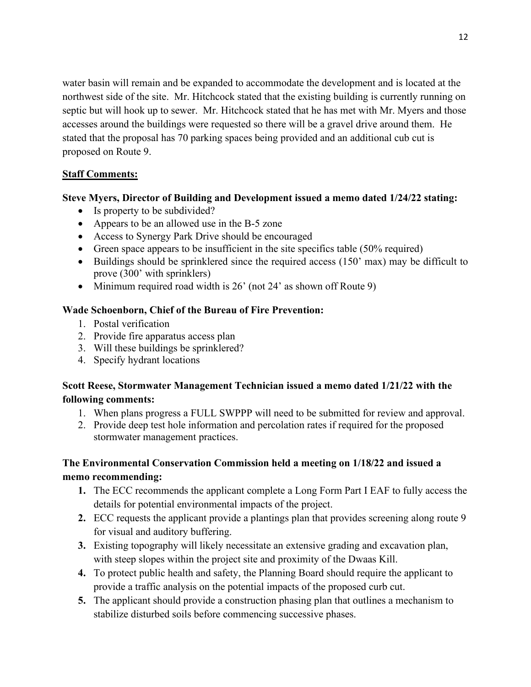water basin will remain and be expanded to accommodate the development and is located at the northwest side of the site. Mr. Hitchcock stated that the existing building is currently running on septic but will hook up to sewer. Mr. Hitchcock stated that he has met with Mr. Myers and those accesses around the buildings were requested so there will be a gravel drive around them. He stated that the proposal has 70 parking spaces being provided and an additional cub cut is proposed on Route 9.

## **Staff Comments:**

## **Steve Myers, Director of Building and Development issued a memo dated 1/24/22 stating:**

- Is property to be subdivided?
- Appears to be an allowed use in the B-5 zone
- Access to Synergy Park Drive should be encouraged
- Green space appears to be insufficient in the site specifics table (50% required)
- Buildings should be sprinklered since the required access (150' max) may be difficult to prove (300' with sprinklers)
- Minimum required road width is 26' (not 24' as shown off Route 9)

# **Wade Schoenborn, Chief of the Bureau of Fire Prevention:**

- 1. Postal verification
- 2. Provide fire apparatus access plan
- 3. Will these buildings be sprinklered?
- 4. Specify hydrant locations

# **Scott Reese, Stormwater Management Technician issued a memo dated 1/21/22 with the following comments:**

- 1. When plans progress a FULL SWPPP will need to be submitted for review and approval.
- 2. Provide deep test hole information and percolation rates if required for the proposed stormwater management practices.

# **The Environmental Conservation Commission held a meeting on 1/18/22 and issued a memo recommending:**

- **1.** The ECC recommends the applicant complete a Long Form Part I EAF to fully access the details for potential environmental impacts of the project.
- **2.** ECC requests the applicant provide a plantings plan that provides screening along route 9 for visual and auditory buffering.
- **3.** Existing topography will likely necessitate an extensive grading and excavation plan, with steep slopes within the project site and proximity of the Dwaas Kill.
- **4.** To protect public health and safety, the Planning Board should require the applicant to provide a traffic analysis on the potential impacts of the proposed curb cut.
- **5.** The applicant should provide a construction phasing plan that outlines a mechanism to stabilize disturbed soils before commencing successive phases.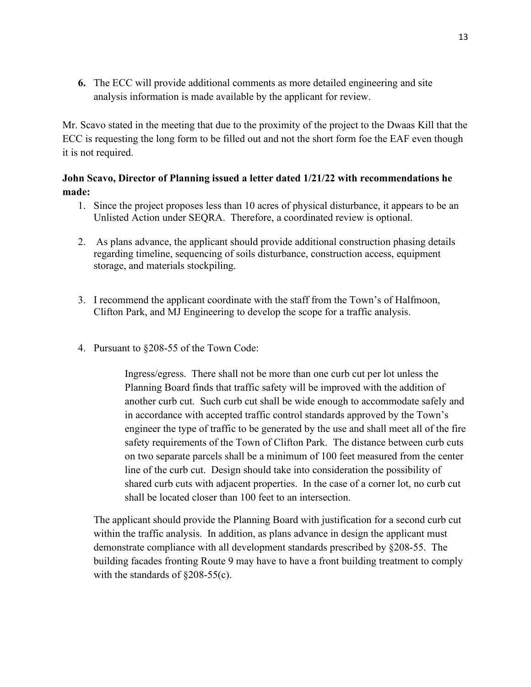**6.** The ECC will provide additional comments as more detailed engineering and site analysis information is made available by the applicant for review.

Mr. Scavo stated in the meeting that due to the proximity of the project to the Dwaas Kill that the ECC is requesting the long form to be filled out and not the short form foe the EAF even though it is not required.

# **John Scavo, Director of Planning issued a letter dated 1/21/22 with recommendations he made:**

- 1. Since the project proposes less than 10 acres of physical disturbance, it appears to be an Unlisted Action under SEQRA. Therefore, a coordinated review is optional.
- 2. As plans advance, the applicant should provide additional construction phasing details regarding timeline, sequencing of soils disturbance, construction access, equipment storage, and materials stockpiling.
- 3. I recommend the applicant coordinate with the staff from the Town's of Halfmoon, Clifton Park, and MJ Engineering to develop the scope for a traffic analysis.
- 4. Pursuant to §208-55 of the Town Code:

Ingress/egress. There shall not be more than one curb cut per lot unless the Planning Board finds that traffic safety will be improved with the addition of another curb cut. Such curb cut shall be wide enough to accommodate safely and in accordance with accepted traffic control standards approved by the Town's engineer the type of traffic to be generated by the use and shall meet all of the fire safety requirements of the Town of Clifton Park. The distance between curb cuts on two separate parcels shall be a minimum of 100 feet measured from the center line of the curb cut. Design should take into consideration the possibility of shared curb cuts with adjacent properties. In the case of a corner lot, no curb cut shall be located closer than 100 feet to an intersection.

The applicant should provide the Planning Board with justification for a second curb cut within the traffic analysis. In addition, as plans advance in design the applicant must demonstrate compliance with all development standards prescribed by §208-55. The building facades fronting Route 9 may have to have a front building treatment to comply with the standards of §208-55(c).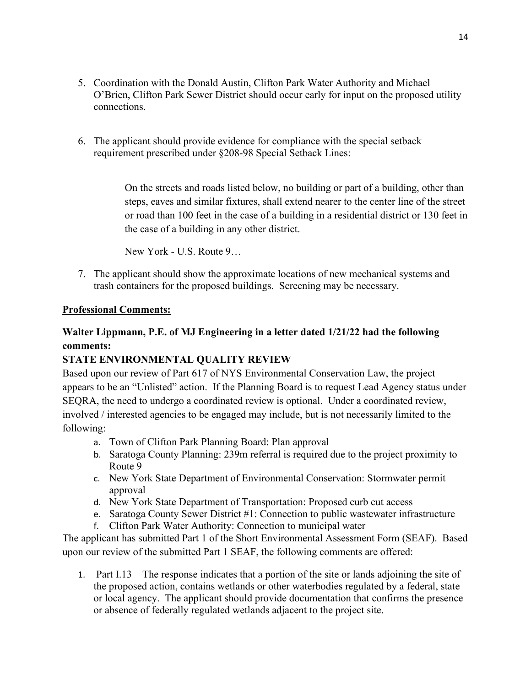- 5. Coordination with the Donald Austin, Clifton Park Water Authority and Michael O'Brien, Clifton Park Sewer District should occur early for input on the proposed utility connections.
- 6. The applicant should provide evidence for compliance with the special setback requirement prescribed under §208-98 Special Setback Lines:

On the streets and roads listed below, no building or part of a building, other than steps, eaves and similar fixtures, shall extend nearer to the center line of the street or road than 100 feet in the case of a building in a residential district or 130 feet in the case of a building in any other district.

New York - U.S. Route 9…

7. The applicant should show the approximate locations of new mechanical systems and trash containers for the proposed buildings. Screening may be necessary.

### **Professional Comments:**

# **Walter Lippmann, P.E. of MJ Engineering in a letter dated 1/21/22 had the following comments:**

## **STATE ENVIRONMENTAL QUALITY REVIEW**

Based upon our review of Part 617 of NYS Environmental Conservation Law, the project appears to be an "Unlisted" action. If the Planning Board is to request Lead Agency status under SEQRA, the need to undergo a coordinated review is optional. Under a coordinated review, involved / interested agencies to be engaged may include, but is not necessarily limited to the following:

- a. Town of Clifton Park Planning Board: Plan approval
- b. Saratoga County Planning: 239m referral is required due to the project proximity to Route 9
- c. New York State Department of Environmental Conservation: Stormwater permit approval
- d. New York State Department of Transportation: Proposed curb cut access
- e. Saratoga County Sewer District #1: Connection to public wastewater infrastructure
- f. Clifton Park Water Authority: Connection to municipal water

The applicant has submitted Part 1 of the Short Environmental Assessment Form (SEAF). Based upon our review of the submitted Part 1 SEAF, the following comments are offered:

1. Part I.13 – The response indicates that a portion of the site or lands adjoining the site of the proposed action, contains wetlands or other waterbodies regulated by a federal, state or local agency. The applicant should provide documentation that confirms the presence or absence of federally regulated wetlands adjacent to the project site.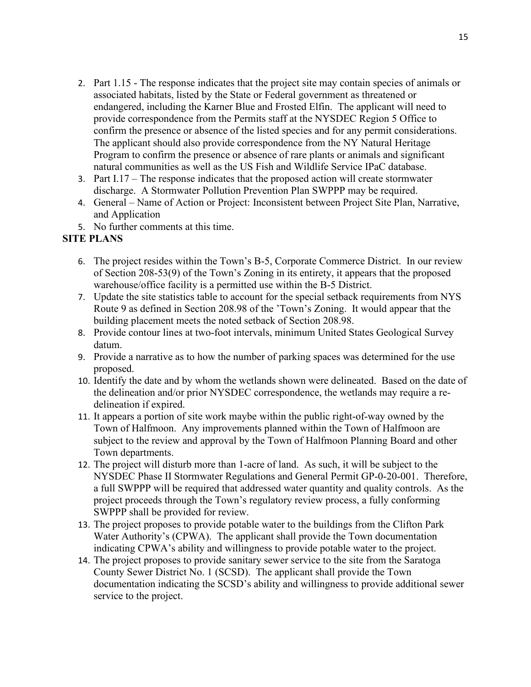- 2. Part 1.15 The response indicates that the project site may contain species of animals or associated habitats, listed by the State or Federal government as threatened or endangered, including the Karner Blue and Frosted Elfin. The applicant will need to provide correspondence from the Permits staff at the NYSDEC Region 5 Office to confirm the presence or absence of the listed species and for any permit considerations. The applicant should also provide correspondence from the NY Natural Heritage Program to confirm the presence or absence of rare plants or animals and significant natural communities as well as the US Fish and Wildlife Service IPaC database.
- 3. Part I.17 The response indicates that the proposed action will create stormwater discharge. A Stormwater Pollution Prevention Plan SWPPP may be required.
- 4. General Name of Action or Project: Inconsistent between Project Site Plan, Narrative, and Application
- 5. No further comments at this time.

## **SITE PLANS**

- 6. The project resides within the Town's B-5, Corporate Commerce District. In our review of Section 208-53(9) of the Town's Zoning in its entirety, it appears that the proposed warehouse/office facility is a permitted use within the B-5 District.
- 7. Update the site statistics table to account for the special setback requirements from NYS Route 9 as defined in Section 208.98 of the 'Town's Zoning. It would appear that the building placement meets the noted setback of Section 208.98.
- 8. Provide contour lines at two-foot intervals, minimum United States Geological Survey datum.
- 9. Provide a narrative as to how the number of parking spaces was determined for the use proposed.
- 10. Identify the date and by whom the wetlands shown were delineated. Based on the date of the delineation and/or prior NYSDEC correspondence, the wetlands may require a redelineation if expired.
- 11. It appears a portion of site work maybe within the public right-of-way owned by the Town of Halfmoon. Any improvements planned within the Town of Halfmoon are subject to the review and approval by the Town of Halfmoon Planning Board and other Town departments.
- 12. The project will disturb more than 1-acre of land. As such, it will be subject to the NYSDEC Phase II Stormwater Regulations and General Permit GP-0-20-001. Therefore, a full SWPPP will be required that addressed water quantity and quality controls. As the project proceeds through the Town's regulatory review process, a fully conforming SWPPP shall be provided for review.
- 13. The project proposes to provide potable water to the buildings from the Clifton Park Water Authority's (CPWA). The applicant shall provide the Town documentation indicating CPWA's ability and willingness to provide potable water to the project.
- 14. The project proposes to provide sanitary sewer service to the site from the Saratoga County Sewer District No. 1 (SCSD). The applicant shall provide the Town documentation indicating the SCSD's ability and willingness to provide additional sewer service to the project.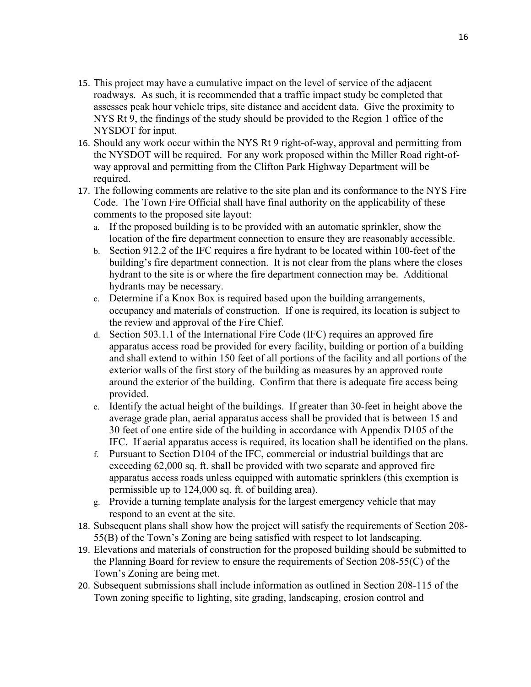- 15. This project may have a cumulative impact on the level of service of the adjacent roadways. As such, it is recommended that a traffic impact study be completed that assesses peak hour vehicle trips, site distance and accident data. Give the proximity to NYS Rt 9, the findings of the study should be provided to the Region 1 office of the NYSDOT for input.
- 16. Should any work occur within the NYS Rt 9 right-of-way, approval and permitting from the NYSDOT will be required. For any work proposed within the Miller Road right-ofway approval and permitting from the Clifton Park Highway Department will be required.
- 17. The following comments are relative to the site plan and its conformance to the NYS Fire Code. The Town Fire Official shall have final authority on the applicability of these comments to the proposed site layout:
	- a. If the proposed building is to be provided with an automatic sprinkler, show the location of the fire department connection to ensure they are reasonably accessible.
	- b. Section 912.2 of the IFC requires a fire hydrant to be located within 100-feet of the building's fire department connection. It is not clear from the plans where the closes hydrant to the site is or where the fire department connection may be. Additional hydrants may be necessary.
	- c. Determine if a Knox Box is required based upon the building arrangements, occupancy and materials of construction. If one is required, its location is subject to the review and approval of the Fire Chief.
	- d. Section 503.1.1 of the International Fire Code (IFC) requires an approved fire apparatus access road be provided for every facility, building or portion of a building and shall extend to within 150 feet of all portions of the facility and all portions of the exterior walls of the first story of the building as measures by an approved route around the exterior of the building. Confirm that there is adequate fire access being provided.
	- e. Identify the actual height of the buildings. If greater than 30-feet in height above the average grade plan, aerial apparatus access shall be provided that is between 15 and 30 feet of one entire side of the building in accordance with Appendix D105 of the IFC. If aerial apparatus access is required, its location shall be identified on the plans.
	- f. Pursuant to Section D104 of the IFC, commercial or industrial buildings that are exceeding 62,000 sq. ft. shall be provided with two separate and approved fire apparatus access roads unless equipped with automatic sprinklers (this exemption is permissible up to 124,000 sq. ft. of building area).
	- g. Provide a turning template analysis for the largest emergency vehicle that may respond to an event at the site.
- 18. Subsequent plans shall show how the project will satisfy the requirements of Section 208- 55(B) of the Town's Zoning are being satisfied with respect to lot landscaping.
- 19. Elevations and materials of construction for the proposed building should be submitted to the Planning Board for review to ensure the requirements of Section 208-55(C) of the Town's Zoning are being met.
- 20. Subsequent submissions shall include information as outlined in Section 208-115 of the Town zoning specific to lighting, site grading, landscaping, erosion control and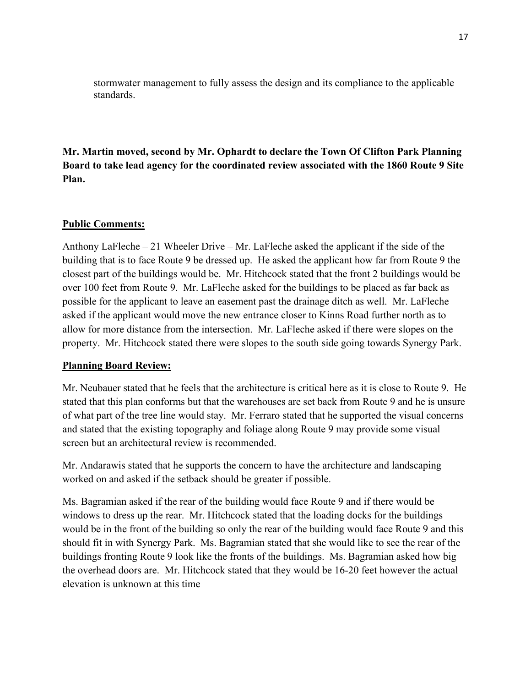stormwater management to fully assess the design and its compliance to the applicable standards.

**Mr. Martin moved, second by Mr. Ophardt to declare the Town Of Clifton Park Planning Board to take lead agency for the coordinated review associated with the 1860 Route 9 Site Plan.**

## **Public Comments:**

Anthony LaFleche – 21 Wheeler Drive – Mr. LaFleche asked the applicant if the side of the building that is to face Route 9 be dressed up. He asked the applicant how far from Route 9 the closest part of the buildings would be. Mr. Hitchcock stated that the front 2 buildings would be over 100 feet from Route 9. Mr. LaFleche asked for the buildings to be placed as far back as possible for the applicant to leave an easement past the drainage ditch as well. Mr. LaFleche asked if the applicant would move the new entrance closer to Kinns Road further north as to allow for more distance from the intersection. Mr. LaFleche asked if there were slopes on the property. Mr. Hitchcock stated there were slopes to the south side going towards Synergy Park.

## **Planning Board Review:**

Mr. Neubauer stated that he feels that the architecture is critical here as it is close to Route 9. He stated that this plan conforms but that the warehouses are set back from Route 9 and he is unsure of what part of the tree line would stay. Mr. Ferraro stated that he supported the visual concerns and stated that the existing topography and foliage along Route 9 may provide some visual screen but an architectural review is recommended.

Mr. Andarawis stated that he supports the concern to have the architecture and landscaping worked on and asked if the setback should be greater if possible.

Ms. Bagramian asked if the rear of the building would face Route 9 and if there would be windows to dress up the rear. Mr. Hitchcock stated that the loading docks for the buildings would be in the front of the building so only the rear of the building would face Route 9 and this should fit in with Synergy Park. Ms. Bagramian stated that she would like to see the rear of the buildings fronting Route 9 look like the fronts of the buildings. Ms. Bagramian asked how big the overhead doors are. Mr. Hitchcock stated that they would be 16-20 feet however the actual elevation is unknown at this time